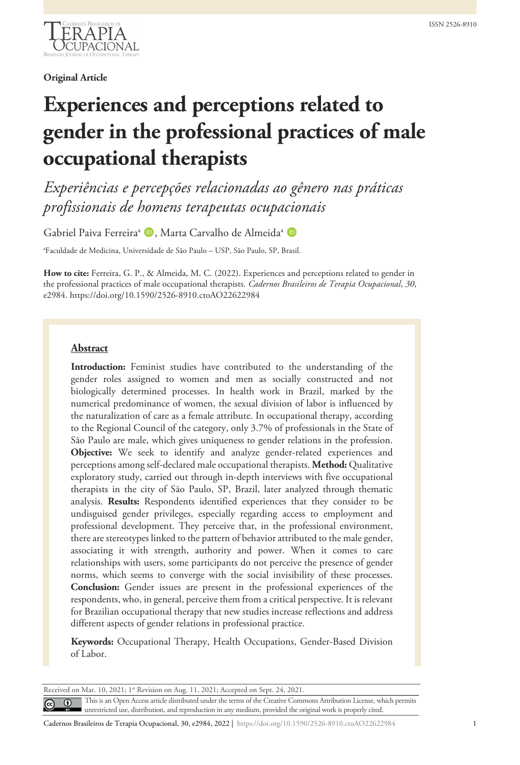

**Original Article**

# **Experiences and perceptions related to gender in the professional practices of male occupational therapists**

*Experiências e percepções relacionadas ao gênero nas práticas profissionais de homens terapeutas ocupacionais*

Gabriel Paiva Ferreira<sup>a</sup> D, Marta Carvalho de Almeida<sup>a</sup> D

a Faculdade de Medicina, Universidade de São Paulo – USP, São Paulo, SP, Brasil.

**How to cite:** Ferreira, G. P., & Almeida, M. C. (2022). Experiences and perceptions related to gender in the professional practices of male occupational therapists. *Cadernos Brasileiros de Terapia Ocupacional*, *30*, e2984. https://doi.org/10.1590/2526-8910.ctoAO22622984

# **Abstract**

**Introduction:** Feminist studies have contributed to the understanding of the gender roles assigned to women and men as socially constructed and not biologically determined processes. In health work in Brazil, marked by the numerical predominance of women, the sexual division of labor is influenced by the naturalization of care as a female attribute. In occupational therapy, according to the Regional Council of the category, only 3.7% of professionals in the State of São Paulo are male, which gives uniqueness to gender relations in the profession. **Objective:** We seek to identify and analyze gender-related experiences and perceptions among self-declared male occupational therapists. **Method:** Qualitative exploratory study, carried out through in-depth interviews with five occupational therapists in the city of São Paulo, SP, Brazil, later analyzed through thematic analysis. **Results:** Respondents identified experiences that they consider to be undisguised gender privileges, especially regarding access to employment and professional development. They perceive that, in the professional environment, there are stereotypes linked to the pattern of behavior attributed to the male gender, associating it with strength, authority and power. When it comes to care relationships with users, some participants do not perceive the presence of gender norms, which seems to converge with the social invisibility of these processes. **Conclusion:** Gender issues are present in the professional experiences of the respondents, who, in general, perceive them from a critical perspective. It is relevant for Brazilian occupational therapy that new studies increase reflections and address different aspects of gender relations in professional practice.

**Keywords:** Occupational Therapy, Health Occupations, Gender-Based Division of Labor.

Received on Mar. 10, 2021; 1st Revision on Aug. 11, 2021; Accepted on Sept. 24, 2021.

This is an Open Access article distributed under the terms of the Creative Commons Attribution License, which permits unrestricted use, distribution, and reproduction in any medium, provided the original work is properly cited.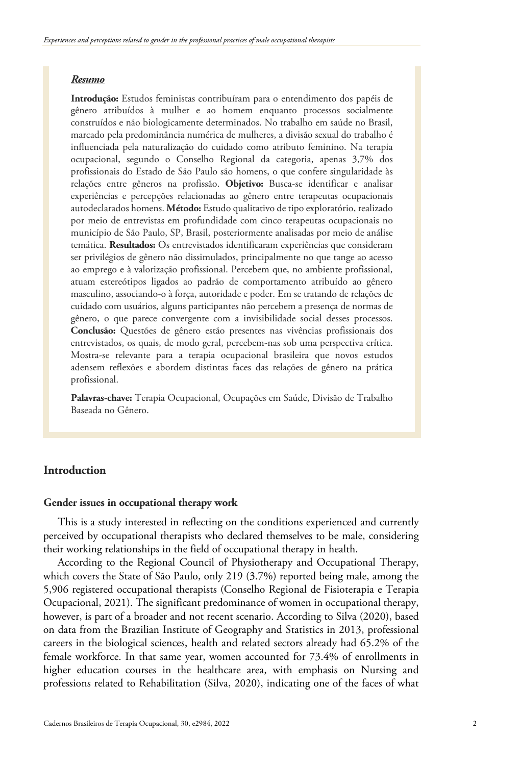### *Resumo*

**Introdução:** Estudos feministas contribuíram para o entendimento dos papéis de gênero atribuídos à mulher e ao homem enquanto processos socialmente construídos e não biologicamente determinados. No trabalho em saúde no Brasil, marcado pela predominância numérica de mulheres, a divisão sexual do trabalho é influenciada pela naturalização do cuidado como atributo feminino. Na terapia ocupacional, segundo o Conselho Regional da categoria, apenas 3,7% dos profissionais do Estado de São Paulo são homens, o que confere singularidade às relações entre gêneros na profissão. **Objetivo:** Busca-se identificar e analisar experiências e percepções relacionadas ao gênero entre terapeutas ocupacionais autodeclarados homens. **Método:** Estudo qualitativo de tipo exploratório, realizado por meio de entrevistas em profundidade com cinco terapeutas ocupacionais no município de São Paulo, SP, Brasil, posteriormente analisadas por meio de análise temática. **Resultados:** Os entrevistados identificaram experiências que consideram ser privilégios de gênero não dissimulados, principalmente no que tange ao acesso ao emprego e à valorização profissional. Percebem que, no ambiente profissional, atuam estereótipos ligados ao padrão de comportamento atribuído ao gênero masculino, associando-o à força, autoridade e poder. Em se tratando de relações de cuidado com usuários, alguns participantes não percebem a presença de normas de gênero, o que parece convergente com a invisibilidade social desses processos. **Conclusão:** Questões de gênero estão presentes nas vivências profissionais dos entrevistados, os quais, de modo geral, percebem-nas sob uma perspectiva crítica. Mostra-se relevante para a terapia ocupacional brasileira que novos estudos adensem reflexões e abordem distintas faces das relações de gênero na prática profissional.

**Palavras-chave:** Terapia Ocupacional, Ocupações em Saúde, Divisão de Trabalho Baseada no Gênero.

# **Introduction**

#### **Gender issues in occupational therapy work**

This is a study interested in reflecting on the conditions experienced and currently perceived by occupational therapists who declared themselves to be male, considering their working relationships in the field of occupational therapy in health.

According to the Regional Council of Physiotherapy and Occupational Therapy, which covers the State of São Paulo, only 219 (3.7%) reported being male, among the 5,906 registered occupational therapists (Conselho Regional de Fisioterapia e Terapia Ocupacional, 2021). The significant predominance of women in occupational therapy, however, is part of a broader and not recent scenario. According to Silva (2020), based on data from the Brazilian Institute of Geography and Statistics in 2013, professional careers in the biological sciences, health and related sectors already had 65.2% of the female workforce. In that same year, women accounted for 73.4% of enrollments in higher education courses in the healthcare area, with emphasis on Nursing and professions related to Rehabilitation (Silva, 2020), indicating one of the faces of what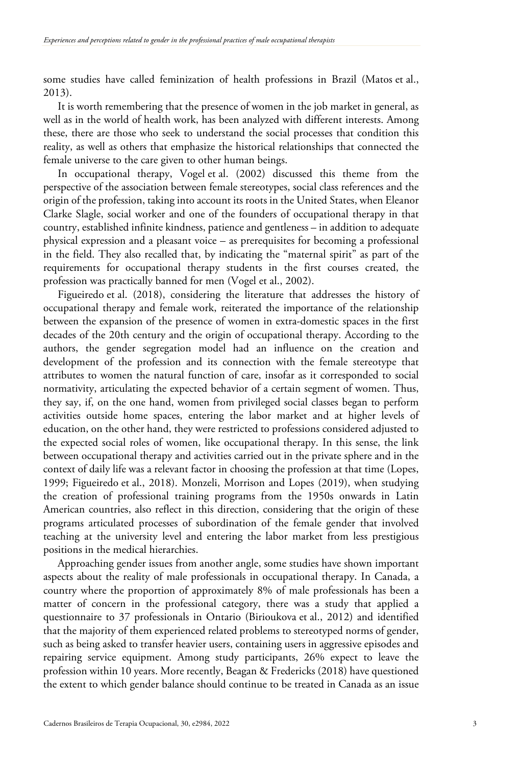some studies have called feminization of health professions in Brazil (Matos et al., 2013).

It is worth remembering that the presence of women in the job market in general, as well as in the world of health work, has been analyzed with different interests. Among these, there are those who seek to understand the social processes that condition this reality, as well as others that emphasize the historical relationships that connected the female universe to the care given to other human beings.

In occupational therapy, Vogel et al. (2002) discussed this theme from the perspective of the association between female stereotypes, social class references and the origin of the profession, taking into account its roots in the United States, when Eleanor Clarke Slagle, social worker and one of the founders of occupational therapy in that country, established infinite kindness, patience and gentleness – in addition to adequate physical expression and a pleasant voice – as prerequisites for becoming a professional in the field. They also recalled that, by indicating the "maternal spirit" as part of the requirements for occupational therapy students in the first courses created, the profession was practically banned for men (Vogel et al., 2002).

Figueiredo et al. (2018), considering the literature that addresses the history of occupational therapy and female work, reiterated the importance of the relationship between the expansion of the presence of women in extra-domestic spaces in the first decades of the 20th century and the origin of occupational therapy. According to the authors, the gender segregation model had an influence on the creation and development of the profession and its connection with the female stereotype that attributes to women the natural function of care, insofar as it corresponded to social normativity, articulating the expected behavior of a certain segment of women. Thus, they say, if, on the one hand, women from privileged social classes began to perform activities outside home spaces, entering the labor market and at higher levels of education, on the other hand, they were restricted to professions considered adjusted to the expected social roles of women, like occupational therapy. In this sense, the link between occupational therapy and activities carried out in the private sphere and in the context of daily life was a relevant factor in choosing the profession at that time (Lopes, 1999; Figueiredo et al., 2018). Monzeli, Morrison and Lopes (2019), when studying the creation of professional training programs from the 1950s onwards in Latin American countries, also reflect in this direction, considering that the origin of these programs articulated processes of subordination of the female gender that involved teaching at the university level and entering the labor market from less prestigious positions in the medical hierarchies.

Approaching gender issues from another angle, some studies have shown important aspects about the reality of male professionals in occupational therapy. In Canada, a country where the proportion of approximately 8% of male professionals has been a matter of concern in the professional category, there was a study that applied a questionnaire to 37 professionals in Ontario (Birioukova et al., 2012) and identified that the majority of them experienced related problems to stereotyped norms of gender, such as being asked to transfer heavier users, containing users in aggressive episodes and repairing service equipment. Among study participants, 26% expect to leave the profession within 10 years. More recently, Beagan & Fredericks (2018) have questioned the extent to which gender balance should continue to be treated in Canada as an issue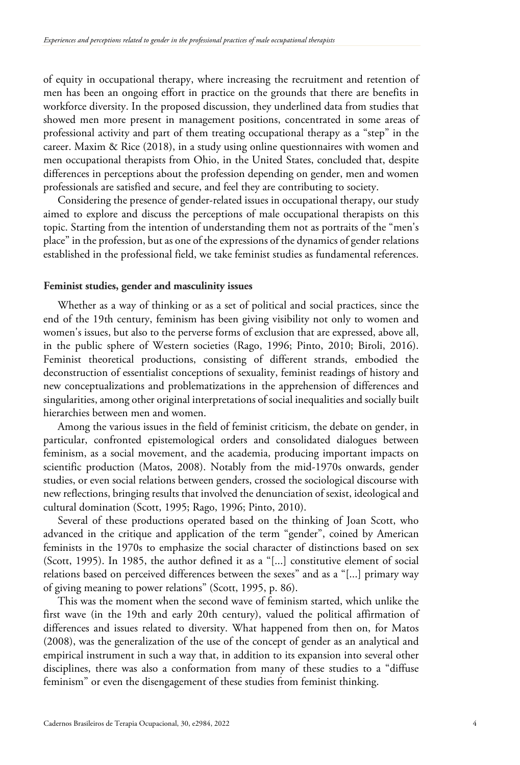of equity in occupational therapy, where increasing the recruitment and retention of men has been an ongoing effort in practice on the grounds that there are benefits in workforce diversity. In the proposed discussion, they underlined data from studies that showed men more present in management positions, concentrated in some areas of professional activity and part of them treating occupational therapy as a "step" in the career. Maxim & Rice (2018), in a study using online questionnaires with women and men occupational therapists from Ohio, in the United States, concluded that, despite differences in perceptions about the profession depending on gender, men and women professionals are satisfied and secure, and feel they are contributing to society.

Considering the presence of gender-related issues in occupational therapy, our study aimed to explore and discuss the perceptions of male occupational therapists on this topic. Starting from the intention of understanding them not as portraits of the "men's place" in the profession, but as one of the expressions of the dynamics of gender relations established in the professional field, we take feminist studies as fundamental references.

#### **Feminist studies, gender and masculinity issues**

Whether as a way of thinking or as a set of political and social practices, since the end of the 19th century, feminism has been giving visibility not only to women and women's issues, but also to the perverse forms of exclusion that are expressed, above all, in the public sphere of Western societies (Rago, 1996; Pinto, 2010; Biroli, 2016). Feminist theoretical productions, consisting of different strands, embodied the deconstruction of essentialist conceptions of sexuality, feminist readings of history and new conceptualizations and problematizations in the apprehension of differences and singularities, among other original interpretations of social inequalities and socially built hierarchies between men and women.

Among the various issues in the field of feminist criticism, the debate on gender, in particular, confronted epistemological orders and consolidated dialogues between feminism, as a social movement, and the academia, producing important impacts on scientific production (Matos, 2008). Notably from the mid-1970s onwards, gender studies, or even social relations between genders, crossed the sociological discourse with new reflections, bringing results that involved the denunciation of sexist, ideological and cultural domination (Scott, 1995; Rago, 1996; Pinto, 2010).

Several of these productions operated based on the thinking of Joan Scott, who advanced in the critique and application of the term "gender", coined by American feminists in the 1970s to emphasize the social character of distinctions based on sex (Scott, 1995). In 1985, the author defined it as a "[...] constitutive element of social relations based on perceived differences between the sexes" and as a "[...] primary way of giving meaning to power relations" (Scott, 1995, p. 86).

This was the moment when the second wave of feminism started, which unlike the first wave (in the 19th and early 20th century), valued the political affirmation of differences and issues related to diversity. What happened from then on, for Matos (2008), was the generalization of the use of the concept of gender as an analytical and empirical instrument in such a way that, in addition to its expansion into several other disciplines, there was also a conformation from many of these studies to a "diffuse feminism" or even the disengagement of these studies from feminist thinking.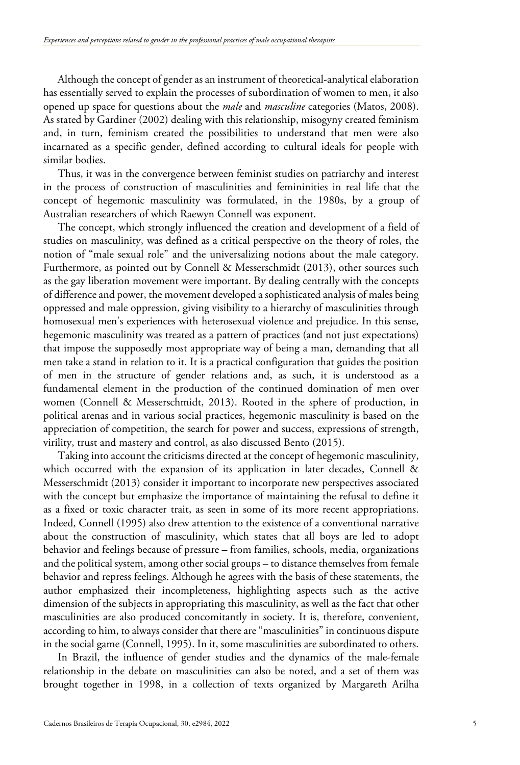Although the concept of gender as an instrument of theoretical-analytical elaboration has essentially served to explain the processes of subordination of women to men, it also opened up space for questions about the *male* and *masculine* categories (Matos, 2008). As stated by Gardiner (2002) dealing with this relationship, misogyny created feminism and, in turn, feminism created the possibilities to understand that men were also incarnated as a specific gender, defined according to cultural ideals for people with similar bodies.

Thus, it was in the convergence between feminist studies on patriarchy and interest in the process of construction of masculinities and femininities in real life that the concept of hegemonic masculinity was formulated, in the 1980s, by a group of Australian researchers of which Raewyn Connell was exponent.

The concept, which strongly influenced the creation and development of a field of studies on masculinity, was defined as a critical perspective on the theory of roles, the notion of "male sexual role" and the universalizing notions about the male category. Furthermore, as pointed out by Connell & Messerschmidt (2013), other sources such as the gay liberation movement were important. By dealing centrally with the concepts of difference and power, the movement developed a sophisticated analysis of males being oppressed and male oppression, giving visibility to a hierarchy of masculinities through homosexual men's experiences with heterosexual violence and prejudice. In this sense, hegemonic masculinity was treated as a pattern of practices (and not just expectations) that impose the supposedly most appropriate way of being a man, demanding that all men take a stand in relation to it. It is a practical configuration that guides the position of men in the structure of gender relations and, as such, it is understood as a fundamental element in the production of the continued domination of men over women (Connell & Messerschmidt, 2013). Rooted in the sphere of production, in political arenas and in various social practices, hegemonic masculinity is based on the appreciation of competition, the search for power and success, expressions of strength, virility, trust and mastery and control, as also discussed Bento (2015).

Taking into account the criticisms directed at the concept of hegemonic masculinity, which occurred with the expansion of its application in later decades, Connell & Messerschmidt (2013) consider it important to incorporate new perspectives associated with the concept but emphasize the importance of maintaining the refusal to define it as a fixed or toxic character trait, as seen in some of its more recent appropriations. Indeed, Connell (1995) also drew attention to the existence of a conventional narrative about the construction of masculinity, which states that all boys are led to adopt behavior and feelings because of pressure – from families, schools, media, organizations and the political system, among other social groups – to distance themselves from female behavior and repress feelings. Although he agrees with the basis of these statements, the author emphasized their incompleteness, highlighting aspects such as the active dimension of the subjects in appropriating this masculinity, as well as the fact that other masculinities are also produced concomitantly in society. It is, therefore, convenient, according to him, to always consider that there are "masculinities" in continuous dispute in the social game (Connell, 1995). In it, some masculinities are subordinated to others.

In Brazil, the influence of gender studies and the dynamics of the male-female relationship in the debate on masculinities can also be noted, and a set of them was brought together in 1998, in a collection of texts organized by Margareth Arilha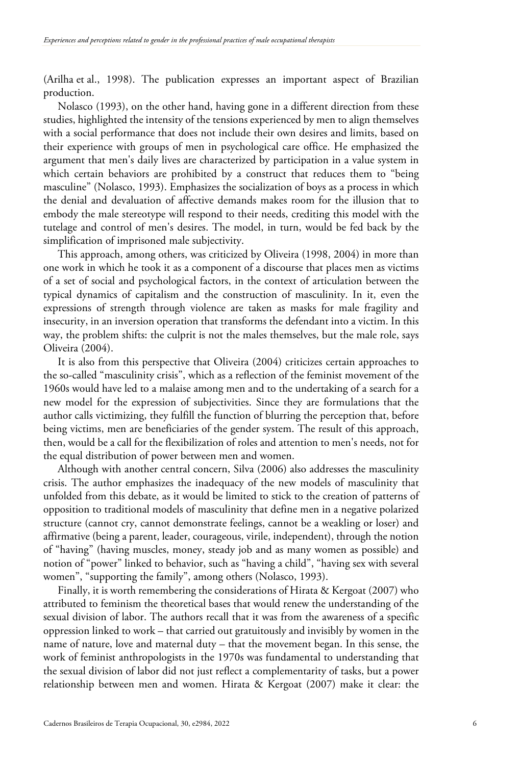(Arilha et al., 1998). The publication expresses an important aspect of Brazilian production.

Nolasco (1993), on the other hand, having gone in a different direction from these studies, highlighted the intensity of the tensions experienced by men to align themselves with a social performance that does not include their own desires and limits, based on their experience with groups of men in psychological care office. He emphasized the argument that men's daily lives are characterized by participation in a value system in which certain behaviors are prohibited by a construct that reduces them to "being masculine" (Nolasco, 1993). Emphasizes the socialization of boys as a process in which the denial and devaluation of affective demands makes room for the illusion that to embody the male stereotype will respond to their needs, crediting this model with the tutelage and control of men's desires. The model, in turn, would be fed back by the simplification of imprisoned male subjectivity.

This approach, among others, was criticized by Oliveira (1998, 2004) in more than one work in which he took it as a component of a discourse that places men as victims of a set of social and psychological factors, in the context of articulation between the typical dynamics of capitalism and the construction of masculinity. In it, even the expressions of strength through violence are taken as masks for male fragility and insecurity, in an inversion operation that transforms the defendant into a victim. In this way, the problem shifts: the culprit is not the males themselves, but the male role, says Oliveira (2004).

It is also from this perspective that Oliveira (2004) criticizes certain approaches to the so-called "masculinity crisis", which as a reflection of the feminist movement of the 1960s would have led to a malaise among men and to the undertaking of a search for a new model for the expression of subjectivities. Since they are formulations that the author calls victimizing, they fulfill the function of blurring the perception that, before being victims, men are beneficiaries of the gender system. The result of this approach, then, would be a call for the flexibilization of roles and attention to men's needs, not for the equal distribution of power between men and women.

Although with another central concern, Silva (2006) also addresses the masculinity crisis. The author emphasizes the inadequacy of the new models of masculinity that unfolded from this debate, as it would be limited to stick to the creation of patterns of opposition to traditional models of masculinity that define men in a negative polarized structure (cannot cry, cannot demonstrate feelings, cannot be a weakling or loser) and affirmative (being a parent, leader, courageous, virile, independent), through the notion of "having" (having muscles, money, steady job and as many women as possible) and notion of "power" linked to behavior, such as "having a child", "having sex with several women", "supporting the family", among others (Nolasco, 1993).

Finally, it is worth remembering the considerations of Hirata & Kergoat (2007) who attributed to feminism the theoretical bases that would renew the understanding of the sexual division of labor. The authors recall that it was from the awareness of a specific oppression linked to work – that carried out gratuitously and invisibly by women in the name of nature, love and maternal duty – that the movement began. In this sense, the work of feminist anthropologists in the 1970s was fundamental to understanding that the sexual division of labor did not just reflect a complementarity of tasks, but a power relationship between men and women. Hirata & Kergoat (2007) make it clear: the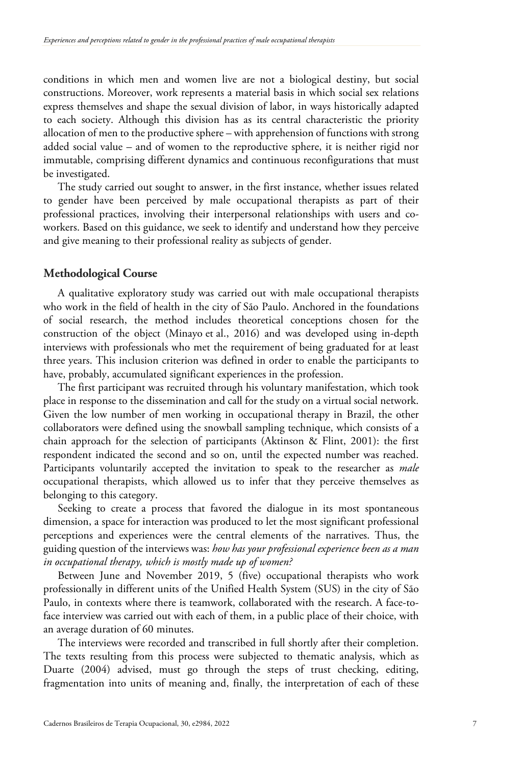conditions in which men and women live are not a biological destiny, but social constructions. Moreover, work represents a material basis in which social sex relations express themselves and shape the sexual division of labor, in ways historically adapted to each society. Although this division has as its central characteristic the priority allocation of men to the productive sphere – with apprehension of functions with strong added social value – and of women to the reproductive sphere, it is neither rigid nor immutable, comprising different dynamics and continuous reconfigurations that must be investigated.

The study carried out sought to answer, in the first instance, whether issues related to gender have been perceived by male occupational therapists as part of their professional practices, involving their interpersonal relationships with users and coworkers. Based on this guidance, we seek to identify and understand how they perceive and give meaning to their professional reality as subjects of gender.

## **Methodological Course**

A qualitative exploratory study was carried out with male occupational therapists who work in the field of health in the city of São Paulo. Anchored in the foundations of social research, the method includes theoretical conceptions chosen for the construction of the object (Minayo et al., 2016) and was developed using in-depth interviews with professionals who met the requirement of being graduated for at least three years. This inclusion criterion was defined in order to enable the participants to have, probably, accumulated significant experiences in the profession.

The first participant was recruited through his voluntary manifestation, which took place in response to the dissemination and call for the study on a virtual social network. Given the low number of men working in occupational therapy in Brazil, the other collaborators were defined using the snowball sampling technique, which consists of a chain approach for the selection of participants (Aktinson & Flint, 2001): the first respondent indicated the second and so on, until the expected number was reached. Participants voluntarily accepted the invitation to speak to the researcher as *male* occupational therapists, which allowed us to infer that they perceive themselves as belonging to this category.

Seeking to create a process that favored the dialogue in its most spontaneous dimension, a space for interaction was produced to let the most significant professional perceptions and experiences were the central elements of the narratives. Thus, the guiding question of the interviews was: *how has your professional experience been as a man in occupational therapy, which is mostly made up of women?*

Between June and November 2019, 5 (five) occupational therapists who work professionally in different units of the Unified Health System (SUS) in the city of São Paulo, in contexts where there is teamwork, collaborated with the research. A face-toface interview was carried out with each of them, in a public place of their choice, with an average duration of 60 minutes.

The interviews were recorded and transcribed in full shortly after their completion. The texts resulting from this process were subjected to thematic analysis, which as Duarte (2004) advised, must go through the steps of trust checking, editing, fragmentation into units of meaning and, finally, the interpretation of each of these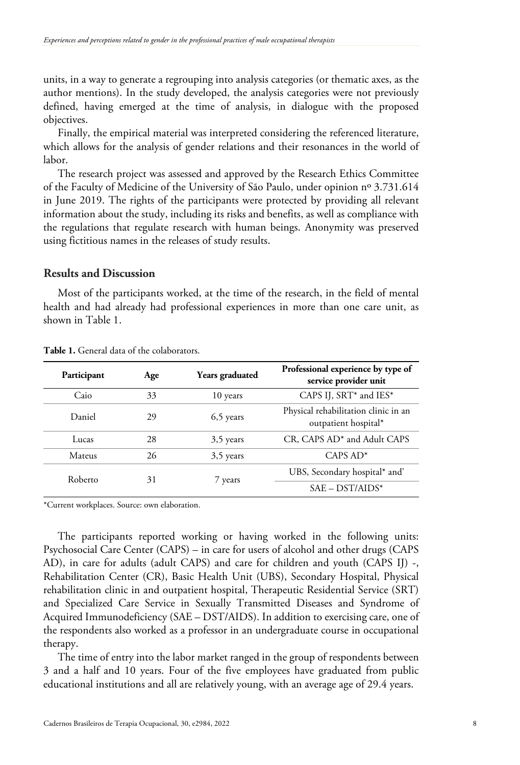units, in a way to generate a regrouping into analysis categories (or thematic axes, as the author mentions). In the study developed, the analysis categories were not previously defined, having emerged at the time of analysis, in dialogue with the proposed objectives.

Finally, the empirical material was interpreted considering the referenced literature, which allows for the analysis of gender relations and their resonances in the world of labor.

The research project was assessed and approved by the Research Ethics Committee of the Faculty of Medicine of the University of São Paulo, under opinion nº 3.731.614 in June 2019. The rights of the participants were protected by providing all relevant information about the study, including its risks and benefits, as well as compliance with the regulations that regulate research with human beings. Anonymity was preserved using fictitious names in the releases of study results.

## **Results and Discussion**

Most of the participants worked, at the time of the research, in the field of mental health and had already had professional experiences in more than one care unit, as shown in Table 1.

| Participant | Age | Years graduated | Professional experience by type of<br>service provider unit  |
|-------------|-----|-----------------|--------------------------------------------------------------|
| Caio        | 33  | 10 years        | CAPS IJ, SRT* and IES*                                       |
| Daniel      | 29  | $6,5$ years     | Physical rehabilitation clinic in an<br>outpatient hospital* |
| Lucas       | 28  | 3,5 years       | CR, CAPS AD <sup>*</sup> and Adult CAPS                      |
| Mateus      | 26  | 3,5 years       | $CAPS AD*$                                                   |
| Roberto     | 31  | 7 years         | UBS, Secondary hospital* and'                                |
|             |     |                 | $SAE - DST/AIDS^*$                                           |

**Table 1.** General data of the colaborators.

\*Current workplaces. Source: own elaboration.

The participants reported working or having worked in the following units: Psychosocial Care Center (CAPS) – in care for users of alcohol and other drugs (CAPS AD), in care for adults (adult CAPS) and care for children and youth (CAPS IJ) -, Rehabilitation Center (CR), Basic Health Unit (UBS), Secondary Hospital, Physical rehabilitation clinic in and outpatient hospital, Therapeutic Residential Service (SRT) and Specialized Care Service in Sexually Transmitted Diseases and Syndrome of Acquired Immunodeficiency (SAE – DST/AIDS). In addition to exercising care, one of the respondents also worked as a professor in an undergraduate course in occupational therapy.

The time of entry into the labor market ranged in the group of respondents between 3 and a half and 10 years. Four of the five employees have graduated from public educational institutions and all are relatively young, with an average age of 29.4 years.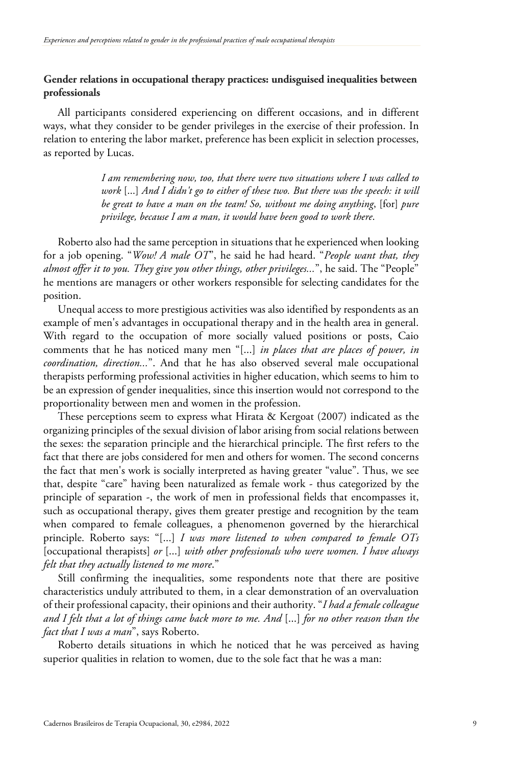# **Gender relations in occupational therapy practices: undisguised inequalities between professionals**

All participants considered experiencing on different occasions, and in different ways, what they consider to be gender privileges in the exercise of their profession. In relation to entering the labor market, preference has been explicit in selection processes, as reported by Lucas.

> *I am remembering now, too, that there were two situations where I was called to work* [...] *And I didn't go to either of these two. But there was the speech: it will be great to have a man on the team! So, without me doing anything*, [for] *pure privilege, because I am a man, it would have been good to work there*.

Roberto also had the same perception in situations that he experienced when looking for a job opening. "*Wow! A male OT*", he said he had heard. "*People want that, they almost offer it to you. They give you other things, other privileges...*", he said. The "People" he mentions are managers or other workers responsible for selecting candidates for the position.

Unequal access to more prestigious activities was also identified by respondents as an example of men's advantages in occupational therapy and in the health area in general. With regard to the occupation of more socially valued positions or posts, Caio comments that he has noticed many men "[...] *in places that are places of power, in coordination, direction...*". And that he has also observed several male occupational therapists performing professional activities in higher education, which seems to him to be an expression of gender inequalities, since this insertion would not correspond to the proportionality between men and women in the profession.

These perceptions seem to express what Hirata & Kergoat (2007) indicated as the organizing principles of the sexual division of labor arising from social relations between the sexes: the separation principle and the hierarchical principle. The first refers to the fact that there are jobs considered for men and others for women. The second concerns the fact that men's work is socially interpreted as having greater "value". Thus, we see that, despite "care" having been naturalized as female work - thus categorized by the principle of separation -, the work of men in professional fields that encompasses it, such as occupational therapy, gives them greater prestige and recognition by the team when compared to female colleagues, a phenomenon governed by the hierarchical principle. Roberto says: "[...] *I was more listened to when compared to female OTs* [occupational therapists] *or* [...] *with other professionals who were women. I have always felt that they actually listened to me more*."

Still confirming the inequalities, some respondents note that there are positive characteristics unduly attributed to them, in a clear demonstration of an overvaluation of their professional capacity, their opinions and their authority. "*I had a female colleague and I felt that a lot of things came back more to me. And* [...] *for no other reason than the fact that I was a man*", says Roberto.

Roberto details situations in which he noticed that he was perceived as having superior qualities in relation to women, due to the sole fact that he was a man: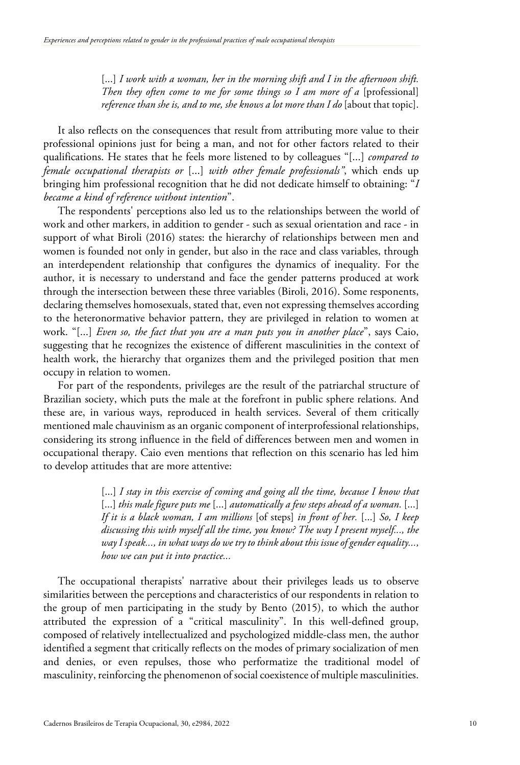[...] *I work with a woman, her in the morning shift and I in the afternoon shift. Then they often come to me for some things so I am more of a* [professional] *reference than she is, and to me, she knows a lot more than I do* [about that topic].

It also reflects on the consequences that result from attributing more value to their professional opinions just for being a man, and not for other factors related to their qualifications. He states that he feels more listened to by colleagues "[...] *compared to female occupational therapists or* [...] *with other female professionals"*, which ends up bringing him professional recognition that he did not dedicate himself to obtaining: "*I became a kind of reference without intention*".

The respondents' perceptions also led us to the relationships between the world of work and other markers, in addition to gender - such as sexual orientation and race - in support of what Biroli (2016) states: the hierarchy of relationships between men and women is founded not only in gender, but also in the race and class variables, through an interdependent relationship that configures the dynamics of inequality. For the author, it is necessary to understand and face the gender patterns produced at work through the intersection between these three variables (Biroli, 2016). Some responents, declaring themselves homosexuals, stated that, even not expressing themselves according to the heteronormative behavior pattern, they are privileged in relation to women at work. "[...] *Even so, the fact that you are a man puts you in another place*", says Caio, suggesting that he recognizes the existence of different masculinities in the context of health work, the hierarchy that organizes them and the privileged position that men occupy in relation to women.

For part of the respondents, privileges are the result of the patriarchal structure of Brazilian society, which puts the male at the forefront in public sphere relations. And these are, in various ways, reproduced in health services. Several of them critically mentioned male chauvinism as an organic component of interprofessional relationships, considering its strong influence in the field of differences between men and women in occupational therapy. Caio even mentions that reflection on this scenario has led him to develop attitudes that are more attentive:

> [...] *I stay in this exercise of coming and going all the time, because I know that* [...] *this male figure puts me* [...] *automatically a few steps ahead of a woman.* [...] *If it is a black woman, I am millions* [of steps] *in front of her.* [...] *So, I keep discussing this with myself all the time, you know? The way I present myself..., the way I speak..., in what ways do we try to think about this issue of gender equality..., how we can put it into practice...*

The occupational therapists' narrative about their privileges leads us to observe similarities between the perceptions and characteristics of our respondents in relation to the group of men participating in the study by Bento (2015), to which the author attributed the expression of a "critical masculinity". In this well-defined group, composed of relatively intellectualized and psychologized middle-class men, the author identified a segment that critically reflects on the modes of primary socialization of men and denies, or even repulses, those who performatize the traditional model of masculinity, reinforcing the phenomenon of social coexistence of multiple masculinities.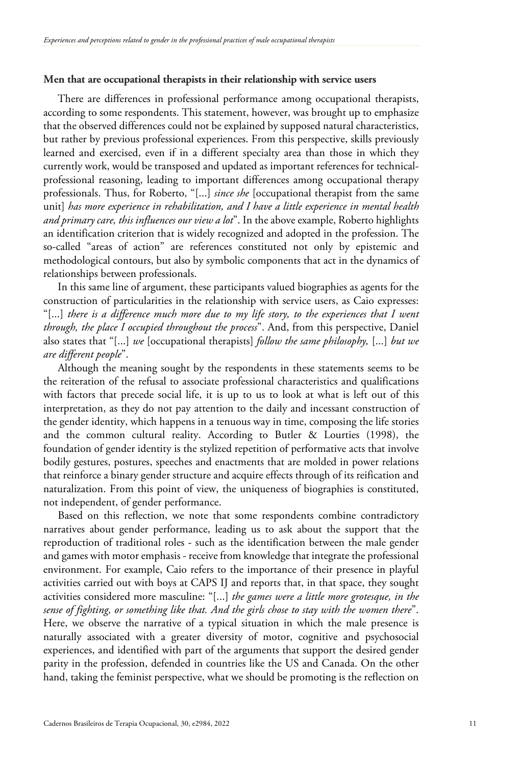## **Men that are occupational therapists in their relationship with service users**

There are differences in professional performance among occupational therapists, according to some respondents. This statement, however, was brought up to emphasize that the observed differences could not be explained by supposed natural characteristics, but rather by previous professional experiences. From this perspective, skills previously learned and exercised, even if in a different specialty area than those in which they currently work, would be transposed and updated as important references for technicalprofessional reasoning, leading to important differences among occupational therapy professionals. Thus, for Roberto, "[...] *since she* [occupational therapist from the same unit] *has more experience in rehabilitation, and I have a little experience in mental health and primary care, this influences our view a lot*". In the above example, Roberto highlights an identification criterion that is widely recognized and adopted in the profession. The so-called "areas of action" are references constituted not only by epistemic and methodological contours, but also by symbolic components that act in the dynamics of relationships between professionals.

In this same line of argument, these participants valued biographies as agents for the construction of particularities in the relationship with service users, as Caio expresses: "[...] *there is a difference much more due to my life story, to the experiences that I went through, the place I occupied throughout the process*". And, from this perspective, Daniel also states that "[...] *we* [occupational therapists] *follow the same philosophy,* [...] *but we are different people*".

Although the meaning sought by the respondents in these statements seems to be the reiteration of the refusal to associate professional characteristics and qualifications with factors that precede social life, it is up to us to look at what is left out of this interpretation, as they do not pay attention to the daily and incessant construction of the gender identity, which happens in a tenuous way in time, composing the life stories and the common cultural reality. According to Butler & Lourties (1998), the foundation of gender identity is the stylized repetition of performative acts that involve bodily gestures, postures, speeches and enactments that are molded in power relations that reinforce a binary gender structure and acquire effects through of its reification and naturalization. From this point of view, the uniqueness of biographies is constituted, not independent, of gender performance.

Based on this reflection, we note that some respondents combine contradictory narratives about gender performance, leading us to ask about the support that the reproduction of traditional roles - such as the identification between the male gender and games with motor emphasis - receive from knowledge that integrate the professional environment. For example, Caio refers to the importance of their presence in playful activities carried out with boys at CAPS IJ and reports that, in that space, they sought activities considered more masculine: "[...] *the games were a little more grotesque, in the sense of fighting, or something like that. And the girls chose to stay with the women there*". Here, we observe the narrative of a typical situation in which the male presence is naturally associated with a greater diversity of motor, cognitive and psychosocial experiences, and identified with part of the arguments that support the desired gender parity in the profession, defended in countries like the US and Canada. On the other hand, taking the feminist perspective, what we should be promoting is the reflection on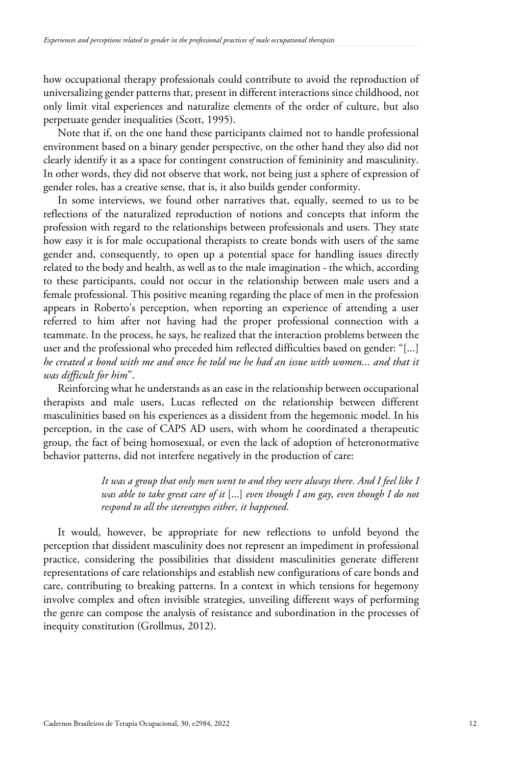how occupational therapy professionals could contribute to avoid the reproduction of universalizing gender patterns that, present in different interactions since childhood, not only limit vital experiences and naturalize elements of the order of culture, but also perpetuate gender inequalities (Scott, 1995).

Note that if, on the one hand these participants claimed not to handle professional environment based on a binary gender perspective, on the other hand they also did not clearly identify it as a space for contingent construction of femininity and masculinity. In other words, they did not observe that work, not being just a sphere of expression of gender roles, has a creative sense, that is, it also builds gender conformity.

In some interviews, we found other narratives that, equally, seemed to us to be reflections of the naturalized reproduction of notions and concepts that inform the profession with regard to the relationships between professionals and users. They state how easy it is for male occupational therapists to create bonds with users of the same gender and, consequently, to open up a potential space for handling issues directly related to the body and health, as well as to the male imagination - the which, according to these participants, could not occur in the relationship between male users and a female professional. This positive meaning regarding the place of men in the profession appears in Roberto's perception, when reporting an experience of attending a user referred to him after not having had the proper professional connection with a teammate. In the process, he says, he realized that the interaction problems between the user and the professional who preceded him reflected difficulties based on gender: "[...] *he created a bond with me and once he told me he had an issue with women... and that it was difficult for him*".

Reinforcing what he understands as an ease in the relationship between occupational therapists and male users, Lucas reflected on the relationship between different masculinities based on his experiences as a dissident from the hegemonic model. In his perception, in the case of CAPS AD users, with whom he coordinated a therapeutic group, the fact of being homosexual, or even the lack of adoption of heteronormative behavior patterns, did not interfere negatively in the production of care:

> *It was a group that only men went to and they were always there. And I feel like I was able to take great care of it* [...] *even though I am gay, even though I do not respond to all the stereotypes either, it happened*.

It would, however, be appropriate for new reflections to unfold beyond the perception that dissident masculinity does not represent an impediment in professional practice, considering the possibilities that dissident masculinities generate different representations of care relationships and establish new configurations of care bonds and care, contributing to breaking patterns. In a context in which tensions for hegemony involve complex and often invisible strategies, unveiling different ways of performing the genre can compose the analysis of resistance and subordination in the processes of inequity constitution (Grollmus, 2012).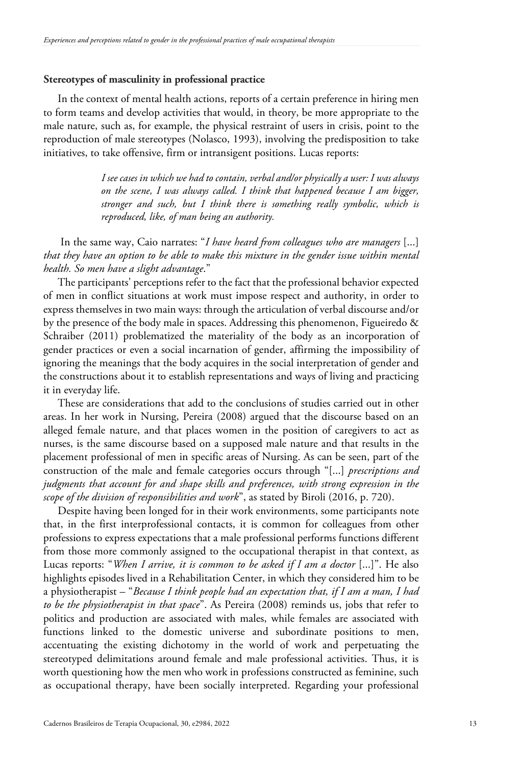## **Stereotypes of masculinity in professional practice**

In the context of mental health actions, reports of a certain preference in hiring men to form teams and develop activities that would, in theory, be more appropriate to the male nature, such as, for example, the physical restraint of users in crisis, point to the reproduction of male stereotypes (Nolasco, 1993), involving the predisposition to take initiatives, to take offensive, firm or intransigent positions. Lucas reports:

> *I see cases in which we had to contain, verbal and/or physically a user: I was always on the scene, I was always called. I think that happened because I am bigger, stronger and such, but I think there is something really symbolic, which is reproduced, like, of man being an authority.*

In the same way, Caio narrates: "*I have heard from colleagues who are managers* [...] *that they have an option to be able to make this mixture in the gender issue within mental health. So men have a slight advantage*."

The participants' perceptions refer to the fact that the professional behavior expected of men in conflict situations at work must impose respect and authority, in order to express themselves in two main ways: through the articulation of verbal discourse and/or by the presence of the body male in spaces. Addressing this phenomenon, Figueiredo & Schraiber (2011) problematized the materiality of the body as an incorporation of gender practices or even a social incarnation of gender, affirming the impossibility of ignoring the meanings that the body acquires in the social interpretation of gender and the constructions about it to establish representations and ways of living and practicing it in everyday life.

These are considerations that add to the conclusions of studies carried out in other areas. In her work in Nursing, Pereira (2008) argued that the discourse based on an alleged female nature, and that places women in the position of caregivers to act as nurses, is the same discourse based on a supposed male nature and that results in the placement professional of men in specific areas of Nursing. As can be seen, part of the construction of the male and female categories occurs through "[...] *prescriptions and judgments that account for and shape skills and preferences, with strong expression in the scope of the division of responsibilities and work*", as stated by Biroli (2016, p. 720).

Despite having been longed for in their work environments, some participants note that, in the first interprofessional contacts, it is common for colleagues from other professions to express expectations that a male professional performs functions different from those more commonly assigned to the occupational therapist in that context, as Lucas reports: "*When I arrive, it is common to be asked if I am a doctor* [...]". He also highlights episodes lived in a Rehabilitation Center, in which they considered him to be a physiotherapist – "*Because I think people had an expectation that, if I am a man, I had to be the physiotherapist in that space*". As Pereira (2008) reminds us, jobs that refer to politics and production are associated with males, while females are associated with functions linked to the domestic universe and subordinate positions to men, accentuating the existing dichotomy in the world of work and perpetuating the stereotyped delimitations around female and male professional activities. Thus, it is worth questioning how the men who work in professions constructed as feminine, such as occupational therapy, have been socially interpreted. Regarding your professional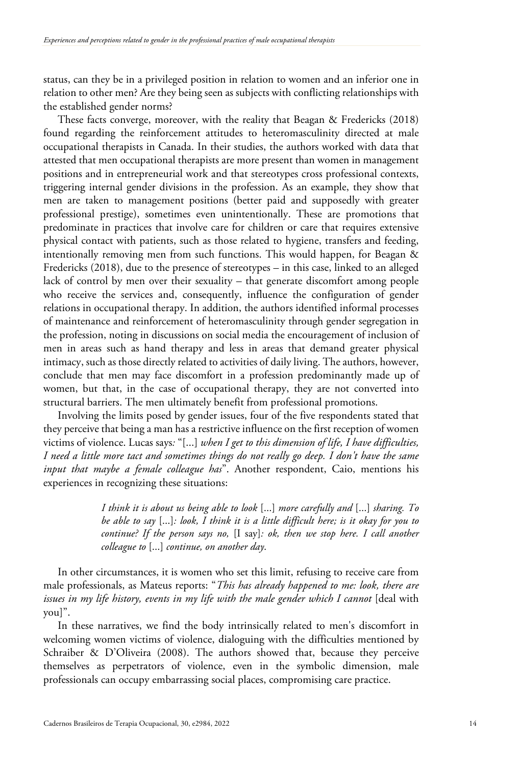status, can they be in a privileged position in relation to women and an inferior one in relation to other men? Are they being seen as subjects with conflicting relationships with the established gender norms?

These facts converge, moreover, with the reality that Beagan & Fredericks (2018) found regarding the reinforcement attitudes to heteromasculinity directed at male occupational therapists in Canada. In their studies, the authors worked with data that attested that men occupational therapists are more present than women in management positions and in entrepreneurial work and that stereotypes cross professional contexts, triggering internal gender divisions in the profession. As an example, they show that men are taken to management positions (better paid and supposedly with greater professional prestige), sometimes even unintentionally. These are promotions that predominate in practices that involve care for children or care that requires extensive physical contact with patients, such as those related to hygiene, transfers and feeding, intentionally removing men from such functions. This would happen, for Beagan & Fredericks (2018), due to the presence of stereotypes – in this case, linked to an alleged lack of control by men over their sexuality – that generate discomfort among people who receive the services and, consequently, influence the configuration of gender relations in occupational therapy. In addition, the authors identified informal processes of maintenance and reinforcement of heteromasculinity through gender segregation in the profession, noting in discussions on social media the encouragement of inclusion of men in areas such as hand therapy and less in areas that demand greater physical intimacy, such as those directly related to activities of daily living. The authors, however, conclude that men may face discomfort in a profession predominantly made up of women, but that, in the case of occupational therapy, they are not converted into structural barriers. The men ultimately benefit from professional promotions.

Involving the limits posed by gender issues, four of the five respondents stated that they perceive that being a man has a restrictive influence on the first reception of women victims of violence. Lucas says*:* "[...] *when I get to this dimension of life, I have difficulties, I need a little more tact and sometimes things do not really go deep. I don't have the same input that maybe a female colleague has*". Another respondent, Caio, mentions his experiences in recognizing these situations:

> *I think it is about us being able to look* [...] *more carefully and* [...] *sharing. To be able to say* [...]*: look, I think it is a little difficult here; is it okay for you to continue? If the person says no,* [I say]*: ok, then we stop here. I call another colleague to* [...] *continue, on another day*.

In other circumstances, it is women who set this limit, refusing to receive care from male professionals, as Mateus reports: "*This has already happened to me: look, there are issues in my life history, events in my life with the male gender which I cannot* [deal with you]".

In these narratives, we find the body intrinsically related to men's discomfort in welcoming women victims of violence, dialoguing with the difficulties mentioned by Schraiber & D'Oliveira (2008). The authors showed that, because they perceive themselves as perpetrators of violence, even in the symbolic dimension, male professionals can occupy embarrassing social places, compromising care practice.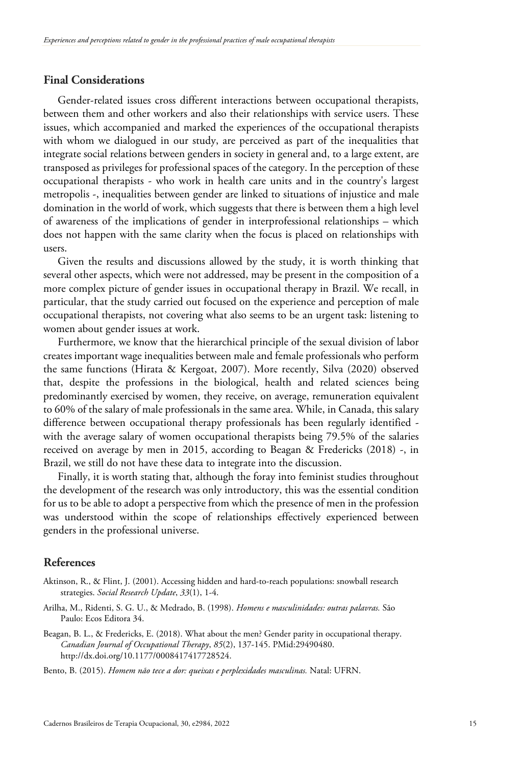# **Final Considerations**

Gender-related issues cross different interactions between occupational therapists, between them and other workers and also their relationships with service users. These issues, which accompanied and marked the experiences of the occupational therapists with whom we dialogued in our study, are perceived as part of the inequalities that integrate social relations between genders in society in general and, to a large extent, are transposed as privileges for professional spaces of the category. In the perception of these occupational therapists - who work in health care units and in the country's largest metropolis -, inequalities between gender are linked to situations of injustice and male domination in the world of work, which suggests that there is between them a high level of awareness of the implications of gender in interprofessional relationships – which does not happen with the same clarity when the focus is placed on relationships with users.

Given the results and discussions allowed by the study, it is worth thinking that several other aspects, which were not addressed, may be present in the composition of a more complex picture of gender issues in occupational therapy in Brazil. We recall, in particular, that the study carried out focused on the experience and perception of male occupational therapists, not covering what also seems to be an urgent task: listening to women about gender issues at work.

Furthermore, we know that the hierarchical principle of the sexual division of labor creates important wage inequalities between male and female professionals who perform the same functions (Hirata & Kergoat, 2007). More recently, Silva (2020) observed that, despite the professions in the biological, health and related sciences being predominantly exercised by women, they receive, on average, remuneration equivalent to 60% of the salary of male professionals in the same area. While, in Canada, this salary difference between occupational therapy professionals has been regularly identified with the average salary of women occupational therapists being 79.5% of the salaries received on average by men in 2015, according to Beagan & Fredericks (2018) -, in Brazil, we still do not have these data to integrate into the discussion.

Finally, it is worth stating that, although the foray into feminist studies throughout the development of the research was only introductory, this was the essential condition for us to be able to adopt a perspective from which the presence of men in the profession was understood within the scope of relationships effectively experienced between genders in the professional universe.

## **References**

- Aktinson, R., & Flint, J. (2001). Accessing hidden and hard-to-reach populations: snowball research strategies. *Social Research Update*, *33*(1), 1-4.
- Arilha, M., Ridenti, S. G. U., & Medrado, B. (1998). *Homens e masculinidades: outras palavras.* São Paulo: Ecos Editora 34.
- Beagan, B. L., & Fredericks, E. (2018). What about the men? Gender parity in occupational therapy. *Canadian Journal of Occupational Therapy*, *85*(2), 137-145. [PMid:29490480.](https://www.ncbi.nlm.nih.gov/entrez/query.fcgi?cmd=Retrieve&db=PubMed&list_uids=29490480&dopt=Abstract) [http://dx.doi.org/10.1177/0008417417728524.](https://doi.org/10.1177/0008417417728524)

Bento, B. (2015). *Homem não tece a dor: queixas e perplexidades masculinas.* Natal: UFRN.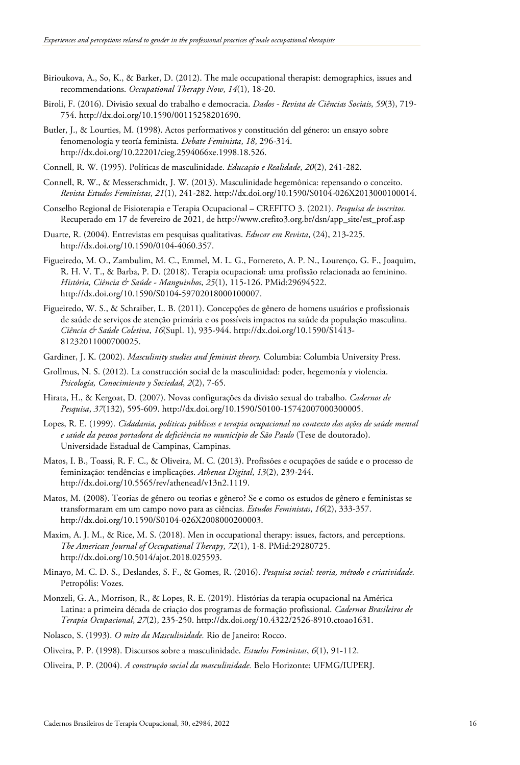- Birioukova, A., So, K., & Barker, D. (2012). The male occupational therapist: demographics, issues and recommendations. *Occupational Therapy Now*, *14*(1), 18-20.
- Biroli, F. (2016). Divisão sexual do trabalho e democracia. *Dados - Revista de Ciências Sociais*, *59*(3), 719- 754. http://dx.doi.org/10.1590/00115258201690.
- Butler, J., & Lourties, M. (1998). Actos performativos y constitución del género: un ensayo sobre fenomenología y teoría feminista. *Debate Feminista*, *18*, 296-314. [http://dx.doi.org/10.22201/cieg.2594066xe.1998.18.526.](https://doi.org/10.22201/cieg.2594066xe.1998.18.526)
- Connell, R. W. (1995). Políticas de masculinidade. *Educação e Realidade*, *20*(2), 241-282.
- Connell, R. W., & Messerschmidt, J. W. (2013). Masculinidade hegemônica: repensando o conceito. *Revista Estudos Feministas*, *21*(1), 241-282. [http://dx.doi.org/10.1590/S0104-026X2013000100014.](https://doi.org/10.1590/S0104-026X2013000100014)
- Conselho Regional de Fisioterapia e Terapia Ocupacional CREFITO 3. (2021). *Pesquisa de inscritos.* Recuperado em 17 de fevereiro de 2021, de http://www.crefito3.org.br/dsn/app\_site/est\_prof.asp
- Duarte, R. (2004). Entrevistas em pesquisas qualitativas. *Educar em Revista*, (24), 213-225. [http://dx.doi.org/10.1590/0104-4060.357.](https://doi.org/10.1590/0104-4060.357)
- Figueiredo, M. O., Zambulim, M. C., Emmel, M. L. G., Fornereto, A. P. N., Lourenço, G. F., Joaquim, R. H. V. T., & Barba, P. D. (2018). Terapia ocupacional: uma profissão relacionada ao feminino. *História, Ciência & Saúde - Manguinhos*, *25*(1), 115-126. [PMid:29694522.](https://www.ncbi.nlm.nih.gov/entrez/query.fcgi?cmd=Retrieve&db=PubMed&list_uids=29694522&dopt=Abstract) http://dx.doi.org/10.1590/S0104-59702018000100007.
- Figueiredo, W. S., & Schraiber, L. B. (2011). Concepções de gênero de homens usuários e profissionais de saúde de serviços de atenção primária e os possíveis impactos na saúde da população masculina. *Ciência & Saúde Coletiva*, *16*(Supl. 1), 935-944[. http://dx.doi.org/10.1590/S1413-](https://doi.org/10.1590/S1413-81232011000700025) [81232011000700025.](https://doi.org/10.1590/S1413-81232011000700025)
- Gardiner, J. K. (2002). *Masculinity studies and feminist theory.* Columbia: Columbia University Press.
- Grollmus, N. S. (2012). La construcción social de la masculinidad: poder, hegemonía y violencia. *Psicología, Conocimiento y Sociedad*, *2*(2), 7-65.
- Hirata, H., & Kergoat, D. (2007). Novas configurações da divisão sexual do trabalho. *Cadernos de Pesquisa*, *37*(132), 595-609. [http://dx.doi.org/10.1590/S0100-15742007000300005.](https://doi.org/10.1590/S0100-15742007000300005)
- Lopes, R. E. (1999). *Cidadania, políticas públicas e terapia ocupacional no contexto das ações de saúde mental e saúde da pessoa portadora de deficiência no município de São Paulo* (Tese de doutorado). Universidade Estadual de Campinas, Campinas.
- Matos, I. B., Toassi, R. F. C., & Oliveira, M. C. (2013). Profissões e ocupações de saúde e o processo de feminização: tendências e implicações. *Athenea Digital*, *13*(2), 239-244. [http://dx.doi.org/10.5565/rev/athenead/v13n2.1119.](https://doi.org/10.5565/rev/athenead/v13n2.1119)
- Matos, M. (2008). Teorias de gênero ou teorias e gênero? Se e como os estudos de gênero e feministas se transformaram em um campo novo para as ciências. *Estudos Feministas*, *16*(2), 333-357. [http://dx.doi.org/10.1590/S0104-026X2008000200003.](https://doi.org/10.1590/S0104-026X2008000200003)
- Maxim, A. J. M., & Rice, M. S. (2018). Men in occupational therapy: issues, factors, and perceptions. *The American Journal of Occupational Therapy*, *72*(1), 1-8. [PMid:29280725.](https://www.ncbi.nlm.nih.gov/entrez/query.fcgi?cmd=Retrieve&db=PubMed&list_uids=29280725&dopt=Abstract) [http://dx.doi.org/10.5014/ajot.2018.025593.](https://doi.org/10.5014/ajot.2018.025593)
- Minayo, M. C. D. S., Deslandes, S. F., & Gomes, R. (2016). *Pesquisa social: teoria, método e criatividade.* Petropólis: Vozes.
- Monzeli, G. A., Morrison, R., & Lopes, R. E. (2019). Histórias da terapia ocupacional na América Latina: a primeira década de criação dos programas de formação profissional. *Cadernos Brasileiros de Terapia Ocupacional*, *27*(2), 235-250. [http://dx.doi.org/10.4322/2526-8910.ctoao1631.](https://doi.org/10.4322/2526-8910.ctoao1631)
- Nolasco, S. (1993). *O mito da Masculinidade.* Rio de Janeiro: Rocco.
- Oliveira, P. P. (1998). Discursos sobre a masculinidade. *Estudos Feministas*, *6*(1), 91-112.
- Oliveira, P. P. (2004). *A construção social da masculinidade.* Belo Horizonte: UFMG/IUPERJ.